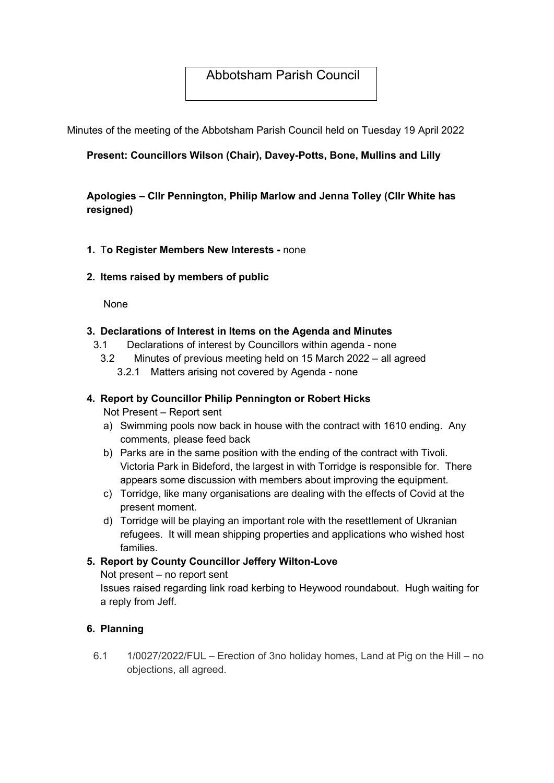# Abbotsham Parish Council

Minutes of the meeting of the Abbotsham Parish Council held on Tuesday 19 April 2022

## Present: Councillors Wilson (Chair), Davey-Potts, Bone, Mullins and Lilly

## Apologies – Cllr Pennington, Philip Marlow and Jenna Tolley (Cllr White has resigned)

#### 1. To Register Members New Interests - none

#### 2. Items raised by members of public

None

#### 3. Declarations of Interest in Items on the Agenda and Minutes

- 3.1 Declarations of interest by Councillors within agenda none
	- 3.2 Minutes of previous meeting held on 15 March 2022 all agreed 3.2.1 Matters arising not covered by Agenda - none

#### 4. Report by Councillor Philip Pennington or Robert Hicks

Not Present – Report sent

- a) Swimming pools now back in house with the contract with 1610 ending. Any comments, please feed back
- b) Parks are in the same position with the ending of the contract with Tivoli. Victoria Park in Bideford, the largest in with Torridge is responsible for. There appears some discussion with members about improving the equipment.
- c) Torridge, like many organisations are dealing with the effects of Covid at the present moment.
- d) Torridge will be playing an important role with the resettlement of Ukranian refugees. It will mean shipping properties and applications who wished host families.

### 5. Report by County Councillor Jeffery Wilton-Love

Not present – no report sent

Issues raised regarding link road kerbing to Heywood roundabout. Hugh waiting for a reply from Jeff.

#### 6. Planning

6.1 1/0027/2022/FUL – Erection of 3no holiday homes, Land at Pig on the Hill – no objections, all agreed.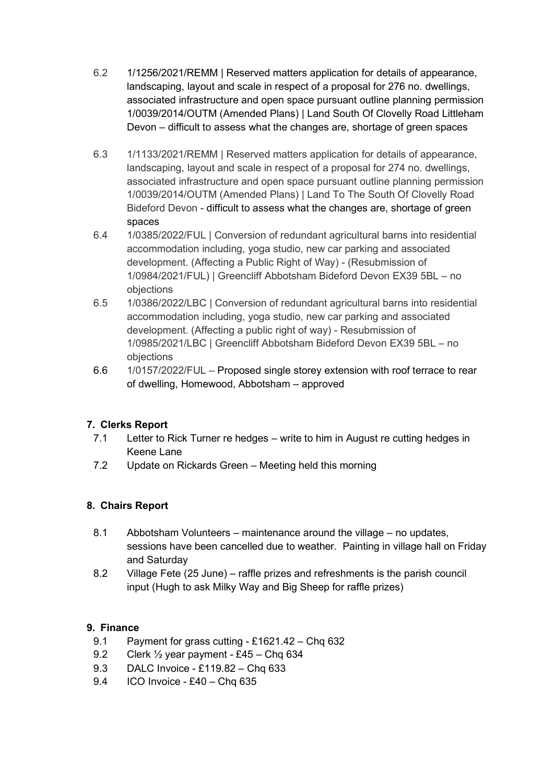- 6.2 1/1256/2021/REMM | Reserved matters application for details of appearance, landscaping, layout and scale in respect of a proposal for 276 no. dwellings, associated infrastructure and open space pursuant outline planning permission 1/0039/2014/OUTM (Amended Plans) | Land South Of Clovelly Road Littleham Devon – difficult to assess what the changes are, shortage of green spaces
- 6.3 1/1133/2021/REMM | Reserved matters application for details of appearance, landscaping, layout and scale in respect of a proposal for 274 no. dwellings, associated infrastructure and open space pursuant outline planning permission 1/0039/2014/OUTM (Amended Plans) | Land To The South Of Clovelly Road Bideford Devon - difficult to assess what the changes are, shortage of green spaces
- 6.4 1/0385/2022/FUL | Conversion of redundant agricultural barns into residential accommodation including, yoga studio, new car parking and associated development. (Affecting a Public Right of Way) - (Resubmission of 1/0984/2021/FUL) | Greencliff Abbotsham Bideford Devon EX39 5BL – no objections
- 6.5 1/0386/2022/LBC | Conversion of redundant agricultural barns into residential accommodation including, yoga studio, new car parking and associated development. (Affecting a public right of way) - Resubmission of 1/0985/2021/LBC | Greencliff Abbotsham Bideford Devon EX39 5BL – no objections
- 6.6 1/0157/2022/FUL Proposed single storey extension with roof terrace to rear of dwelling, Homewood, Abbotsham – approved

## 7. Clerks Report

- 7.1 Letter to Rick Turner re hedges write to him in August re cutting hedges in Keene Lane
- 7.2 Update on Rickards Green Meeting held this morning

## 8. Chairs Report

- 8.1 Abbotsham Volunteers maintenance around the village no updates, sessions have been cancelled due to weather. Painting in village hall on Friday and Saturday
- 8.2 Village Fete (25 June) raffle prizes and refreshments is the parish council input (Hugh to ask Milky Way and Big Sheep for raffle prizes)

## 9. Finance

- 9.1 Payment for grass cutting £1621.42 Chq 632
- 9.2 Clerk ½ year payment £45 Chq 634
- 9.3 DALC Invoice £119.82 Chq 633
- 9.4 ICO Invoice £40 Chq 635